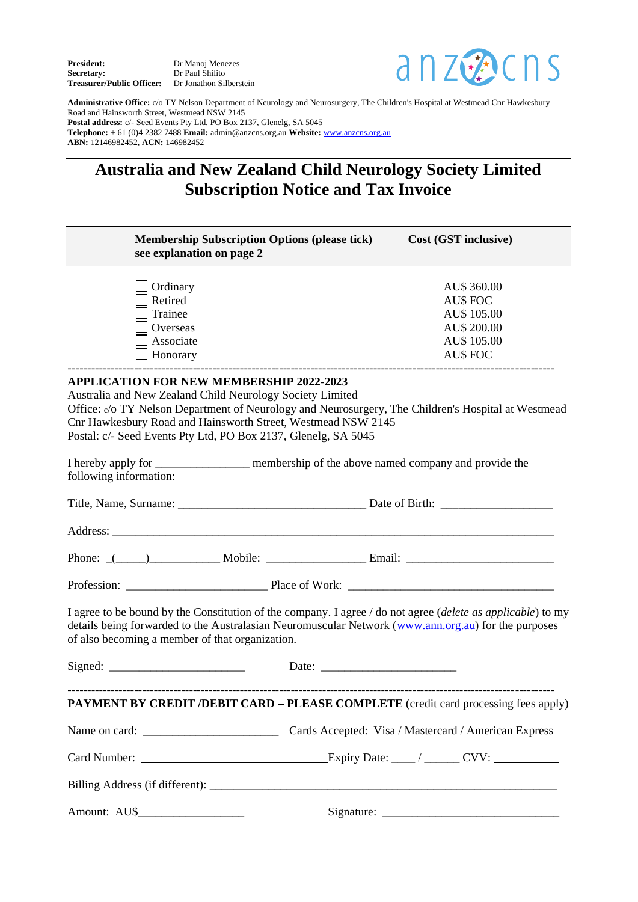**President:** Dr Manoj Menezes<br> **Secretary:** Dr Paul Shilito **Secretary:** Dr Paul Shilito **Treasurer/Public Officer:** Dr Jonathon Silberstein



**Administrative Office:** c/o TY Nelson Department of Neurology and Neurosurgery, The Children's Hospital at Westmead Cnr Hawkesbury Road and Hainsworth Street, Westmead NSW 2145 **Postal address:** c/- Seed Events Pty Ltd, PO Box 2137, Glenelg, SA 5045 **Telephone:** + 61 (0)4 2382 7488 **Email:** admin@anzcns.org.au **Website:** [www.anzcns.org.au](http://www.anzcns.org.au/) **ABN:** 12146982452, **ACN:** 146982452

## **Australia and New Zealand Child Neurology Society Limited Subscription Notice and Tax Invoice**

| <b>Membership Subscription Options (please tick)</b><br>see explanation on page 2                                                                                                                                                              | Cost (GST inclusive)                                                                                                                                                                                               |
|------------------------------------------------------------------------------------------------------------------------------------------------------------------------------------------------------------------------------------------------|--------------------------------------------------------------------------------------------------------------------------------------------------------------------------------------------------------------------|
| Ordinary                                                                                                                                                                                                                                       | AU\$ 360.00                                                                                                                                                                                                        |
| Retired                                                                                                                                                                                                                                        | <b>AU\$ FOC</b>                                                                                                                                                                                                    |
| Trainee                                                                                                                                                                                                                                        | AU\$ 105.00                                                                                                                                                                                                        |
| Overseas                                                                                                                                                                                                                                       | AU\$ 200.00                                                                                                                                                                                                        |
| Associate                                                                                                                                                                                                                                      | AU\$ 105.00                                                                                                                                                                                                        |
| Honorary                                                                                                                                                                                                                                       | <b>AU\$ FOC</b>                                                                                                                                                                                                    |
| <b>APPLICATION FOR NEW MEMBERSHIP 2022-2023</b><br>Australia and New Zealand Child Neurology Society Limited<br>Cnr Hawkesbury Road and Hainsworth Street, Westmead NSW 2145<br>Postal: c/- Seed Events Pty Ltd, PO Box 2137, Glenelg, SA 5045 | Office: c/o TY Nelson Department of Neurology and Neurosurgery, The Children's Hospital at Westmead                                                                                                                |
| following information:                                                                                                                                                                                                                         | I hereby apply for ___________________ membership of the above named company and provide the                                                                                                                       |
|                                                                                                                                                                                                                                                |                                                                                                                                                                                                                    |
|                                                                                                                                                                                                                                                |                                                                                                                                                                                                                    |
|                                                                                                                                                                                                                                                | Phone: (100) Mobile: <u>Mobile: Email:</u> Email: 2009                                                                                                                                                             |
|                                                                                                                                                                                                                                                |                                                                                                                                                                                                                    |
| of also becoming a member of that organization.                                                                                                                                                                                                | I agree to be bound by the Constitution of the company. I agree / do not agree (delete as applicable) to my<br>details being forwarded to the Australasian Neuromuscular Network (www.ann.org.au) for the purposes |
|                                                                                                                                                                                                                                                |                                                                                                                                                                                                                    |
|                                                                                                                                                                                                                                                | PAYMENT BY CREDIT /DEBIT CARD - PLEASE COMPLETE (credit card processing fees apply)                                                                                                                                |
|                                                                                                                                                                                                                                                |                                                                                                                                                                                                                    |
|                                                                                                                                                                                                                                                |                                                                                                                                                                                                                    |
|                                                                                                                                                                                                                                                |                                                                                                                                                                                                                    |
|                                                                                                                                                                                                                                                |                                                                                                                                                                                                                    |